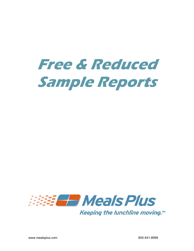# **Free & Reduced Sample Reports**

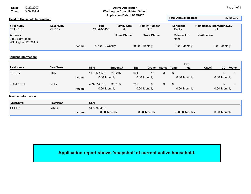| Date:<br>Time:                      | 12/27/2007<br>3:59:30PM               |                                  |                             |                           | <b>Active Application</b><br><b>Washington Consolidated School</b><br>Application Date: 12/05/2007 |                             |                             | Page 1 of 1                    |
|-------------------------------------|---------------------------------------|----------------------------------|-----------------------------|---------------------------|----------------------------------------------------------------------------------------------------|-----------------------------|-----------------------------|--------------------------------|
|                                     | <b>Head of Household Information:</b> |                                  | <b>Total Annual Income:</b> | 27,550.00                 |                                                                                                    |                             |                             |                                |
| <b>First Name</b><br><b>FRANCIS</b> |                                       | <b>Last Name</b><br><b>CUDDY</b> |                             | <b>SSN</b><br>241-78-8456 | <b>Family Size</b>                                                                                 | <b>Family Number</b><br>113 | Language<br>English         | Homeless/Migrant/Runaway<br>NA |
| <b>Address</b><br>3459 Light Road   |                                       |                                  |                             |                           | <b>Home Phone</b>                                                                                  | <b>Work Phone</b>           | <b>Release Info</b><br>None | Verification                   |
|                                     | Wilmington NC, 28412                  |                                  | Income:                     | 575.00 Biweekly           |                                                                                                    | 300.00 Monthly              | 0.00 Monthly                | 0.00 Monthly                   |

## **Student Information:**

| <b>Last Name</b> | <b>FirstName</b> |         | <b>SSN</b>   | Student# | <b>Site</b>  | Grade | Status Temp |   | Exp.<br><b>Date</b> | Case# |              | DC Foster |
|------------------|------------------|---------|--------------|----------|--------------|-------|-------------|---|---------------------|-------|--------------|-----------|
| <b>CUDDY</b>     | <b>LISA</b>      |         | 147-86-4125  | 200246   | 001          | 12    |             | N |                     |       | N            | N         |
|                  |                  | Income: | 0.00 Monthly |          | 0.00 Monthly |       |             |   | 0.00 Monthly        |       | 0.00 Monthly |           |
| CAMPBELL         | <b>BILLY</b>     |         | 459-87-4563  | 300135   | 202          | 08    |             | N |                     |       |              | N         |
|                  |                  | Income: | 0.00 Monthly |          | 0.00 Monthly |       |             |   | 0.00 Monthly        |       | 0.00 Monthly |           |

#### **Member Information:**

| LastName     | <b>FirstName</b> |         | <b>SSN</b>   |              |                |              |
|--------------|------------------|---------|--------------|--------------|----------------|--------------|
| <b>CUDDY</b> | <b>JAMES</b>     |         | 547-89-5456  |              |                |              |
|              |                  | Income: | 0.00 Monthly | 0.00 Monthly | 750.00 Monthly | 0.00 Monthly |

**Application report shows 'snapshot' of current active household.**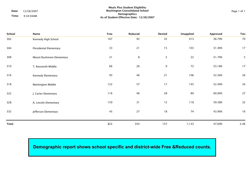|       |            | <b>Meals Plus Student Eligibility</b>    |             |
|-------|------------|------------------------------------------|-------------|
| Date: | 12/28/2007 | Washington Consolidated School           | Page 1 of 1 |
| Time: | 9:34:04AM  | Demographics                             |             |
|       |            | As of Student Effective Date: 12/28/2007 |             |

| School       | Name                      | Free | Reduced        | Denied | Unapplied | Approved | Tota |
|--------------|---------------------------|------|----------------|--------|-----------|----------|------|
| 302          | Kennedy High School       | 167  | 92             | 32     | 413       | 36.79%   | 70   |
| 304          | Presidental Elementary    | 33   | 21             | 15     | 103       | 31.40%   | 17   |
| 308          | Mount Rushmore Elementary | 21   | $8\phantom{1}$ | 5      | 22        | 51.79%   | 5    |
| 310          | T. Roosevelt Middle       | 66   | 26             | 9      | 72        | 53.18%   | 17   |
| 316          | Kennedy Elementary        | 93   | 46             | $21$   | 106       | 52.26%   | 26   |
| 318          | Washington Middle         | 122  | 57             | 17     | 145       | 52.49%   | 34   |
| 322          | J. Carter Elementary      | 116  | 46             | 28     | 80        | 60.00%   | 27   |
| 328          | A. Lincoln Elementary     | 159  | 31             | 12     | 118       | 59.38%   | 32   |
| 332          | Jefferson Elementary      | 45   | 27             | $18$   | 74        | 43.90%   | 16   |
|              |                           |      |                |        |           |          |      |
| <b>Total</b> |                           | 822  | 354            | 157    | 1,133     | 47.69%   | 2,46 |

## **Demographic report shows school specific and district-wide Free &Reduced counts.**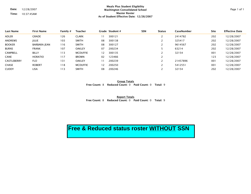**Date:** 12/28/2007

**Time:** 10:37:45AM

#### **Meals Plus Student Eligibility Washington Consolidated School Master Roster As of Student Effective Date: 12/28/2007**

| <b>Last Name</b> | <b>First Name</b> | Family # | <b>Teacher</b>  |    | Grade Student# | <b>SSN</b> | <b>Status</b>  | CaseNumber | <b>Site</b> | <b>Effective Date</b> |
|------------------|-------------------|----------|-----------------|----|----------------|------------|----------------|------------|-------------|-----------------------|
| <b>ADLER</b>     | <b>GRADE</b>      | 126      | <b>CLARK</b>    | 11 | 300121         |            |                | 2414782    | 202         | 12/28/2007            |
| <b>ANDREWS</b>   | <b>JULIE</b>      | 103      | <b>SMITH</b>    | 08 | 300138         |            |                | 325417     | 202         | 12/28/2007            |
| <b>BOOKER</b>    | BARBARA JEAN      | 116      | <b>SMITH</b>    | 08 | 300127         |            |                | 9614567    | 202         | 12/28/2007            |
| <b>BURNS</b>     | <b>FRANK</b>      | 107      | <b>OAKLEY</b>   | 07 | 200234         |            |                | 63214      | 202         | 12/28/2007            |
| <b>CAMPBELL</b>  | <b>BILLY</b>      | 113      | <b>MCDUFFIE</b> | 12 | 300135         |            |                | 32154      | 001         | 12/28/2007            |
| <b>CANE</b>      | <b>HORATIO</b>    | 117      | <b>BROWN</b>    | 02 | 123466         |            | $\overline{2}$ |            | 123         | 12/28/2007            |
| CASTLEBERRY      | <b>FLO</b>        | 131      | <b>OAKLEY</b>   |    | 200239         |            |                | 21457896   | 001         | 12/28/2007            |
| <b>CHASE</b>     | <b>ROBERT</b>     | 118      | <b>MCDUFFIE</b> | 12 | 200250         |            | C.             | 5412551    | 001         | 12/28/2007            |
| <b>CUDDY</b>     | <b>LISA</b>       | 113      | <b>SMITH</b>    | 08 | 200246         |            |                | 32154      | 202         | 12/28/2007            |
|                  |                   |          |                 |    |                |            |                |            |             |                       |

**Group Totals Free Count:** 8 **Reduced Count:** 0 **Paid Count:** 0 **Total:** 9

**Report Totals Free Count:** 8 **Reduced Count:** 0 **Paid Count:** 0 **Total:** 9

# **Free & Reduced status roster WITHOUT SSN**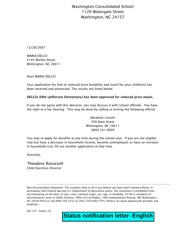Washington Consolidated School 1120 Watergate Street Washington, NC 24157

12/28/2007

MARIA DELCO 4145 Market Street Wilmington, NC 28411

Dear MARIA DELCO:

Your application for free or reduced price breakfast and lunch for your child(ren) has been received and processed. The results are listed below:

## **DELCO, ERIK (Jefferson Elementary) has been approved for reduced price meals.**

If you do not agree with this decision, you may discuss it with school officials. You have the right to a fair hearing. This may be done by calling or writing the following official:

> Abraham Lincoln 349 Main Street Wilmington, NC 28411 (800) 541-8999

You may re-apply for benefits at any time during the school year. If you are not eligible now but have a decrease in household income, become unemployed, or have an increase in household size, fill out another application at that time.

Sincerely,

*Theodore Roosevelt* Child Nutrition Director

---------------------------------------------------------------------------------------------------------------------------------------------------------------------- Non-discrimination Statement: This explains what to do if you believe you have been treated unfairly. In accordance with Federal law and U.S. Department of Agriculture policy, this institution is prohibited from discriminating on the basis of race, color, national origin, sex, age, or disability. To file a complaint of discrimination, write to USDA, Director, Office of Civil Rights, 1400 Independence Avenue, SW, Washington DC 20250-9410 or call (800) 795-3272 or (202) 720-6382 (TTY). USDA is an equal opportunity provider and employer.

Sch 123 Fam# 125

**Status notification letter- English**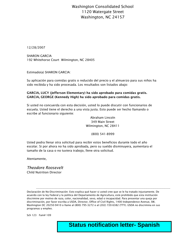## Washington Consolidated School 1120 Watergate Street Washington, NC 24157

12/28/2007

SHARON GARCIA 192 Whitehorse Court Wilmington, NC 28405

Estimado(a) SHARON GARCIA:

Su aplicación para comidas gratis o reducido del precio y el almuerzo para sus niños ha sido recibida y ha sido procesada. Los resultados son listados abajo:

## **GARCIA, LUCY (Jefferson Elementary) ha sido aprobado para comidas gratis. GARCIA, GEORGE (Kennedy High) ha sido aprobado para comidas gratis.**

Si usted no concuerda con esta decisión, usted lo puede discutir con funcionarios de escuela. Usted tiene el derecho a una vista justa. Esto puede ser hecho llamando o escribe al funcionario siguiente:

> Abraham Lincoln 349 Main Street Wilmington, NC 28411

> > (800) 541-8999

Usted podra llenar otra solicitud para recibir estos beneficios durante todo el año escolar. Si por ahora no ha sido aprobada, pero su sueldo disminuyera, aumentara el tamaño de la casa o no tuviera trabojo, llene otra solicitud.

Atentamente,

*Theodore Roosevelt* Child Nutrition Director

Declaración de No-Discriminación: Esto explica qué hacer si usted cree que se le ha tratado injustamente. De acuerdo con la ley Federal y la política del Departamento de Agricultura, está prohibido que esta institución discrimine por motivo de raza, color, nacionalidad, sexo, edad o incapacidad. Para presentar una queja por discriminación, por favor escriba a USDA, Director, Office of Civil Rights, 1400 Independence Avenue, SW, Washington DC 20250-9410 o llame al (800) 795-3272 o al (202) 720-6382 (TTY). USDA no discrimina en sus programas y empleo.

Sch 123 Fam# 109

**Status notification letter- Spanish** 

---------------------------------------------------------------------------------------------------------------------------------------------------------------------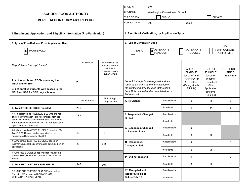|                                                                                                                                                 |                                                                                                 |                                                                                 | SFA ID#:                                                                                                                                                                  | 221                                |                |                                                |                                               |                                               |  |
|-------------------------------------------------------------------------------------------------------------------------------------------------|-------------------------------------------------------------------------------------------------|---------------------------------------------------------------------------------|---------------------------------------------------------------------------------------------------------------------------------------------------------------------------|------------------------------------|----------------|------------------------------------------------|-----------------------------------------------|-----------------------------------------------|--|
| <b>SCHOOL FOOD AUTHORITY</b>                                                                                                                    |                                                                                                 |                                                                                 | <b>SFA NAME:</b>                                                                                                                                                          | Washington Consolidated School     |                |                                                |                                               |                                               |  |
|                                                                                                                                                 |                                                                                                 |                                                                                 | TYPE OF SFA:                                                                                                                                                              |                                    | <b>PUBLIC</b>  | <b>PRIVATE</b>                                 |                                               |                                               |  |
| <b>VERIFICATION SUMMARY REPORT</b>                                                                                                              |                                                                                                 |                                                                                 | <b>SCHOOL YEAR:</b>                                                                                                                                                       | 2007                               | $\blacksquare$ | 2008                                           |                                               |                                               |  |
| I. Enrollment, Application, and Eligibility Information (Pre-Verification)<br>1. Type of Free/Reduced Price Application Used<br>ΙX<br>HOUSEHOLD | II. Results of Verfication, by Application Type<br>6. Type of Verification Used<br><b>BASIC</b> | <b>X</b><br><b>ALTERNATE</b>                                                    |                                                                                                                                                                           | <b>ALTERNATE</b><br><b>FOCUSED</b> |                | <b>NO</b><br><b>VERIFICATIONS</b><br>PERFORMED |                                               |                                               |  |
| Report Items 2 through 5 as of:                                                                                                                 | A. All Schools                                                                                  | B. Provision 2/3<br>Schools WHICH<br>ARE NOT<br>OPERATING A<br><b>BASE YEAR</b> |                                                                                                                                                                           |                                    |                | A. FREE<br><b>ELIGIBLE</b><br>based on FS/     | <b>B. FREE</b><br><b>ELIGIBLE</b><br>based on | C. REDUCED<br><b>PRICE</b><br><b>ELIGIBLE</b> |  |
| 2. # of schools and RCCIs operating the<br><b>NSLP and/or SBP</b>                                                                               | 9                                                                                               |                                                                                 | <b>TANF/FDPIR</b><br>Income/<br>Items 7 through 11 are required and are<br>Application<br>Household<br>reported as of the date of completion of<br>(Categorically<br>Size |                                    |                |                                                |                                               |                                               |  |
| 3. # of enrolled students with access to the<br>NSLP (or SBP for SBP only schools)                                                              |                                                                                                 |                                                                                 | the verifcation process (see instructions.)<br>Eligible)<br>Application<br>Item 12 is optional and is completed as of<br>(Income<br>February 15.<br>Eligible)             |                                    |                |                                                |                                               |                                               |  |
|                                                                                                                                                 | A. # of Students                                                                                | B. # of App.<br>Applications                                                    | 7. No Change                                                                                                                                                              |                                    | # applications | 0                                              | 8                                             | 3                                             |  |
| 4. Total FREE ELIGIBLE reported                                                                                                                 | 796                                                                                             |                                                                                 |                                                                                                                                                                           |                                    | # students     | 0                                              | 14                                            | 3                                             |  |
| 4-1. # approved as FREE ELIGIBLE who are not<br>subject to verification (directly certified, homless                                            | 282                                                                                             |                                                                                 | 8. Responded, Changed<br>to Free                                                                                                                                          |                                    | # applications |                                                |                                               | $\mathbf{1}$                                  |  |
| liason list, income-eligible Head-Start, pre-K Even<br>Start, residential students in RCCIs, non-applicants                                     |                                                                                                 |                                                                                 |                                                                                                                                                                           | # students                         |                |                                                | $\mathbf 1$                                   |                                               |  |
| approved by local officials<br>4-2. # approved as FREE ELIGIBLE based on FS/                                                                    |                                                                                                 |                                                                                 | 9. Responded, Changed<br>to Reduced Price                                                                                                                                 |                                    | # applications | $\mathbf 0$                                    | $\overline{1}$                                |                                               |  |
| TANF/ FDPIR case number submitted on an<br>application (Categorically Eligible)                                                                 | 40                                                                                              | 31                                                                              |                                                                                                                                                                           |                                    | # students     | $\mathbf 0$                                    | 3                                             |                                               |  |
| 4-3. # approved as FREE ELIGIBLE based on<br>income/ household size information submitted on an<br>application                                  | 474                                                                                             | 288                                                                             | 10. Responded,<br><b>Changed to Paid</b>                                                                                                                                  |                                    | # applications | 0                                              | $\mathbf{1}$                                  | $\mathbf{1}$                                  |  |
| 4-4. # FREE ELIGIBLES reported for Provision 2/3                                                                                                |                                                                                                 |                                                                                 |                                                                                                                                                                           |                                    | # students     | 0                                              | 2                                             | $\mathbf{1}$                                  |  |
| schools WHICH ARE NOT OPERATING A BASE<br>YEAR                                                                                                  |                                                                                                 |                                                                                 | 11. Did not respond                                                                                                                                                       |                                    | # applications | 0                                              | $\mathbf{1}$                                  | $\mathbf 0$                                   |  |
| 5. Total REDUCED PRICE ELIGIBLE                                                                                                                 | 348                                                                                             | 201                                                                             |                                                                                                                                                                           |                                    | # students     | 0                                              | 3                                             | $\mathbf 0$                                   |  |
| 5-1. # REDUCED PRICE ELIGIBLE reported for<br>Provision 2/3 schools WHICH ARE NOT                                                               |                                                                                                 |                                                                                 | 12. Reapplied and<br>Reapproved on or                                                                                                                                     |                                    | # applications |                                                |                                               |                                               |  |
| OPERATING A BASE YEAR                                                                                                                           |                                                                                                 |                                                                                 | Before Feb. 15                                                                                                                                                            |                                    | # students     |                                                |                                               |                                               |  |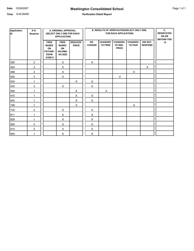## **Washington Consolidated School**

**Time:** 9:44:26AM

### **Verification Detail Report**

| Application<br>ID | # of<br><b>Students</b> |                                                                                      | A. ORIGINAL APPROVAL<br>(SELECT ONLY ONE FOR EACH<br><b>APPLICATION)</b> |                                |                            | <b>B. RESULTS OF VERIFICATION(SELECT ONLY ONE</b><br>FOR EACH APPLICATION) |                                           |                                  |                                  |                         |  |  |
|-------------------|-------------------------|--------------------------------------------------------------------------------------|--------------------------------------------------------------------------|--------------------------------|----------------------------|----------------------------------------------------------------------------|-------------------------------------------|----------------------------------|----------------------------------|-------------------------|--|--|
|                   |                         | <b>FREE</b><br><b>BASED</b><br>ON<br><b>FS/TANF/</b><br><b>FDPIR</b><br><b>CASE#</b> | <b>FREE</b><br><b>BASED</b><br>ON<br>INCOME/<br>HH SIZE                  | <b>REDUCED</b><br><b>PRICE</b> | <b>NO</b><br><b>CHANGE</b> | <b>CHANGED</b><br><b>TO FREE</b>                                           | <b>CHANGED</b><br>TO RED.<br><b>PRICE</b> | <b>CHANGED</b><br><b>TO PAID</b> | <b>DID NOT</b><br><b>RESPOND</b> | <b>BEFORE FEB</b><br>15 |  |  |
| 395               | 2                       |                                                                                      | X                                                                        |                                | X                          |                                                                            |                                           |                                  |                                  |                         |  |  |
| 463               | 3                       |                                                                                      | X                                                                        |                                |                            |                                                                            |                                           |                                  | X                                |                         |  |  |
| 498               | 2                       |                                                                                      | X                                                                        |                                |                            |                                                                            |                                           | X                                |                                  |                         |  |  |
| 504               | 3                       |                                                                                      | X                                                                        |                                |                            |                                                                            | X                                         |                                  |                                  |                         |  |  |
| 534               | 1                       |                                                                                      |                                                                          | X                              | X                          |                                                                            |                                           |                                  |                                  |                         |  |  |
| 535               | $\mathbf{3}$            |                                                                                      | X                                                                        |                                | X                          |                                                                            |                                           |                                  |                                  |                         |  |  |
| 595               | 1                       |                                                                                      |                                                                          | X                              |                            | X                                                                          |                                           |                                  |                                  |                         |  |  |
| 610               | 1                       |                                                                                      |                                                                          | X                              | X                          |                                                                            |                                           |                                  |                                  |                         |  |  |
| 642               | 1                       |                                                                                      |                                                                          | X                              | X                          |                                                                            |                                           |                                  |                                  |                         |  |  |
| 708               | 1                       |                                                                                      |                                                                          | X                              |                            |                                                                            |                                           | X                                |                                  |                         |  |  |
| 735               | $\overline{2}$          |                                                                                      | X                                                                        |                                | X                          |                                                                            |                                           |                                  |                                  |                         |  |  |
| 811               | 1                       |                                                                                      | X                                                                        |                                | X                          |                                                                            |                                           |                                  |                                  |                         |  |  |
| 829               | 1                       |                                                                                      | X                                                                        |                                | X                          |                                                                            |                                           |                                  |                                  |                         |  |  |
| 905               | $\overline{2}$          |                                                                                      | X                                                                        |                                | X                          |                                                                            |                                           |                                  |                                  |                         |  |  |
| 914               | $\overline{c}$          |                                                                                      | X                                                                        |                                | X                          |                                                                            |                                           |                                  |                                  |                         |  |  |
| 954               | 1                       |                                                                                      | X                                                                        |                                | X                          |                                                                            |                                           |                                  |                                  |                         |  |  |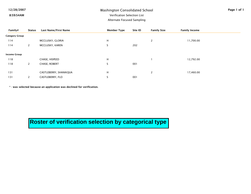## 12/28/2007 Washington Consolidated School

8:59:54AM

## Verification Selection List

Alternate Focused Sampling

| Family#               | <b>Status</b>  | Last Name/First Name   | <b>Member Type</b>            | Site ID | <b>Family Size</b> | <b>Family Income</b> |  |
|-----------------------|----------------|------------------------|-------------------------------|---------|--------------------|----------------------|--|
| <b>Category Group</b> |                |                        |                               |         |                    |                      |  |
| 114                   |                | MCCLUSKY, GLORIA       | н                             |         | 2                  | 11,700.00            |  |
| 114                   | 2              | MCCLUSKY, KAREN        | $\epsilon$<br>C               | 202     |                    |                      |  |
| <b>Income Group</b>   |                |                        |                               |         |                    |                      |  |
| 118                   |                | CHASE, HISPEED         | н                             |         |                    | 12,792.00            |  |
| 118                   | $\overline{2}$ | CHASE, ROBERT          | $\overline{\phantom{0}}$<br>э | 001     |                    |                      |  |
| 131                   |                | CASTLEBERRY, SHANIKQUA | н                             |         | 2                  | 17,460.00            |  |
| 131                   |                | CASTLEBERRY, FLO       |                               | 001     |                    |                      |  |

\* - was selected because an application was declined for verification.

**Roster of verification selection by categorical type**